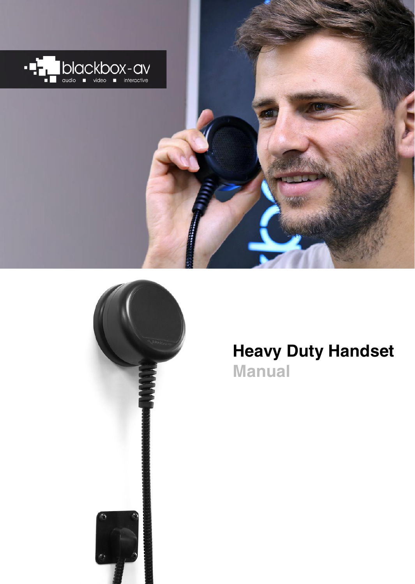



# **Heavy Duty Handset Manual**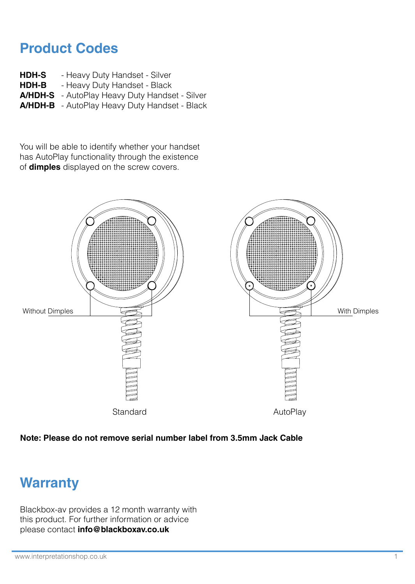### **Product Codes**

- **HDH-S** - Heavy Duty Handset - Silver
- **HDH-B**  - Heavy Duty Handset - Black
- **A/HDH-S** AutoPlay Heavy Duty Handset Silver
- **A/HDH-B** AutoPlay Heavy Duty Handset Black

You will be able to identify whether your handset has AutoPlay functionality through the existence of **dimples** displayed on the screw covers.



#### **Note: Please do not remove serial number label from 3.5mm Jack Cable**

### **Warranty**

Blackbox-av provides a 12 month warranty with this product. For further information or advice please contact **info@blackboxav.co.uk**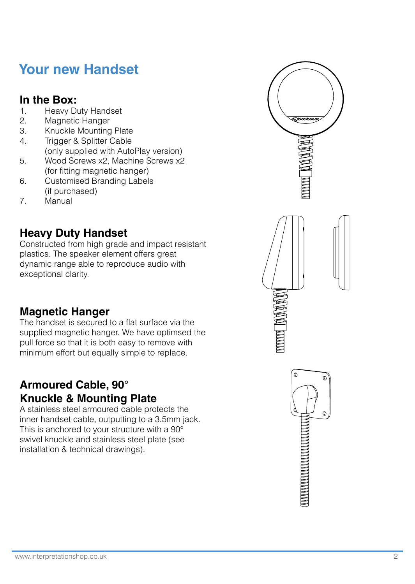### **Your new Handset**

# **In the Box:**

- 1. Heavy Duty Handset<br>2. Magnetic Hanger
- 2. Magnetic Hanger<br>3. Knuckle Mounting
- 3. Knuckle Mounting Plate<br>4. Trigger & Splitter Cable
- Trigger & Splitter Cable (only supplied with AutoPlay version)
- 5. Wood Screws x2, Machine Screws x2 (for fitting magnetic hanger)
- 6. Customised Branding Labels (if purchased)
- 7. Manual

### **Heavy Duty Handset**

Constructed from high grade and impact resistant plastics. The speaker element offers great dynamic range able to reproduce audio with exceptional clarity.

### **Magnetic Hanger**

The handset is secured to a flat surface via the supplied magnetic hanger. We have optimsed the pull force so that it is both easy to remove with minimum effort but equally simple to replace.

### **Armoured Cable, 90° Knuckle & Mounting Plate**

A stainless steel armoured cable protects the inner handset cable, outputting to a 3.5mm jack. This is anchored to your structure with a 90° swivel knuckle and stainless steel plate (see installation & technical drawings).

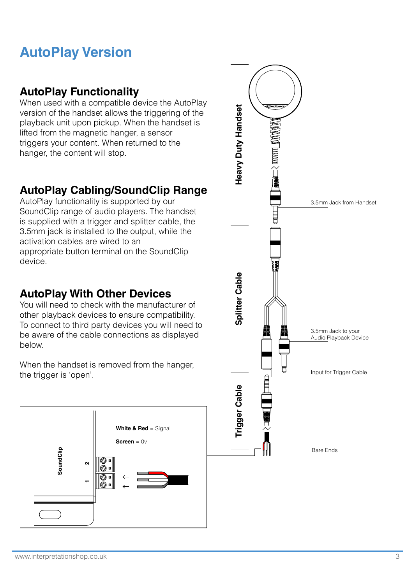## **AutoPlay Version**

#### **AutoPlay Functionality**

When used with a compatible device the AutoPlay version of the handset allows the triggering of the playback unit upon pickup. When the handset is lifted from the magnetic hanger, a sensor triggers your content. When returned to the hanger, the content will stop.

#### **AutoPlay Cabling/SoundClip Range**

AutoPlay functionality is supported by our SoundClip range of audio players. The handset is supplied with a trigger and splitter cable, the 3.5mm jack is installed to the output, while the activation cables are wired to an appropriate button terminal on the SoundClip device.

#### **AutoPlay With Other Devices**

You will need to check with the manufacturer of other playback devices to ensure compatibility. To connect to third party devices you will need to be aware of the cable connections as displayed below.

When the handset is removed from the hanger. the trigger is 'open'.



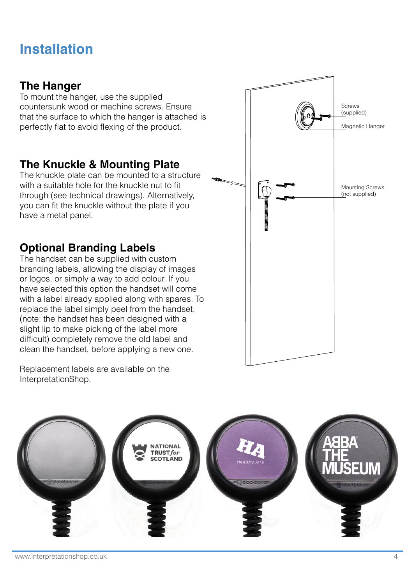## **Installation**

#### **The Hanger**

To mount the hanger, use the supplied countersunk wood or machine screws. Ensure that the surface to which the hanger is attached is perfectly flat to avoid flexing of the product.

#### **The Knuckle & Mounting Plate**

The knuckle plate can be mounted to a structure with a suitable hole for the knuckle nut to fit through (see technical drawings). Alternatively, you can fit the knuckle without the plate if you have a metal panel.

### **Optional Branding Labels**

The handset can be supplied with custom branding labels, allowing the display of images or logos, or simply a way to add colour. If you have selected this option the handset will come with a label already applied along with spares. To replace the label simply peel from the handset, (note: the handset has been designed with a slight lip to make picking of the label more difficult) completely remove the old label and clean the handset, before applying a new one.

Mounting Screws (not supplied) Magnetic Hanger Screws (supplied)

Replacement labels are available on the InterpretationShop.

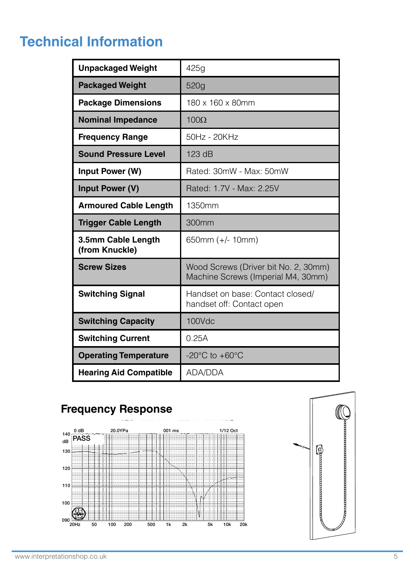# **Technical Information**

| <b>Unpackaged Weight</b>             | 425g                                                                       |
|--------------------------------------|----------------------------------------------------------------------------|
| <b>Packaged Weight</b>               | 520g                                                                       |
| <b>Package Dimensions</b>            | 180 x 160 x 80mm                                                           |
| <b>Nominal Impedance</b>             | $100\Omega$                                                                |
| <b>Frequency Range</b>               | 50Hz - 20KHz                                                               |
| Sound Pressure Level                 | 123 dB                                                                     |
| Input Power (W)                      | Rated: 30mW - Max: 50mW                                                    |
| Input Power (V)                      | Rated: 1.7V - Max: 2.25V                                                   |
| <b>Armoured Cable Length</b>         | 1350mm                                                                     |
| <b>Trigger Cable Length</b>          | 300mm                                                                      |
| 3.5mm Cable Length<br>(from Knuckle) | 650mm (+/- 10mm)                                                           |
| <b>Screw Sizes</b>                   | Wood Screws (Driver bit No. 2, 30mm)<br>Machine Screws (Imperial M4, 30mm) |
| <b>Switching Signal</b>              | Handset on base: Contact closed/<br>handset off: Contact open              |
| <b>Switching Capacity</b>            | 100Vdc                                                                     |
| <b>Switching Current</b>             | 0.25A                                                                      |
| <b>Operating Temperature</b>         | $-20^{\circ}$ C to $+60^{\circ}$ C                                         |
| <b>Hearing Aid Compatible</b>        | ADA/DDA                                                                    |

### **Frequency Response**



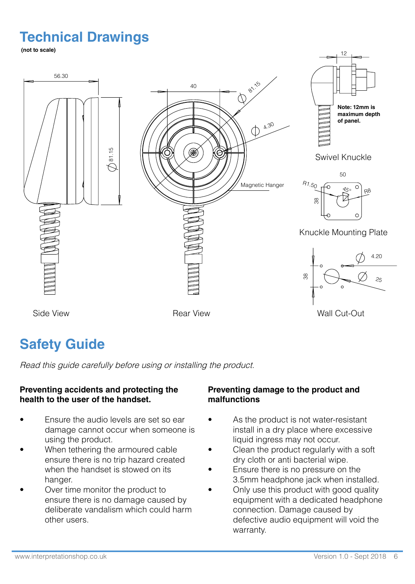## **Technical Drawings**

**(not to scale)**



### **Safety Guide**

Read this guide carefully before using or installing the product.

#### **Preventing accidents and protecting the health to the user of the handset.**

- Fnsure the audio levels are set so ear damage cannot occur when someone is using the product.
- When tethering the armoured cable ensure there is no trip hazard created when the handset is stowed on its hanger.
- Over time monitor the product to ensure there is no damage caused by deliberate vandalism which could harm other users.

#### **Preventing damage to the product and malfunctions**

- As the product is not water-resistant install in a dry place where excessive liquid ingress may not occur.
- Clean the product regularly with a soft dry cloth or anti bacterial wipe.
- Ensure there is no pressure on the 3.5mm headphone jack when installed.
- Only use this product with good quality equipment with a dedicated headphone connection. Damage caused by defective audio equipment will void the warranty.